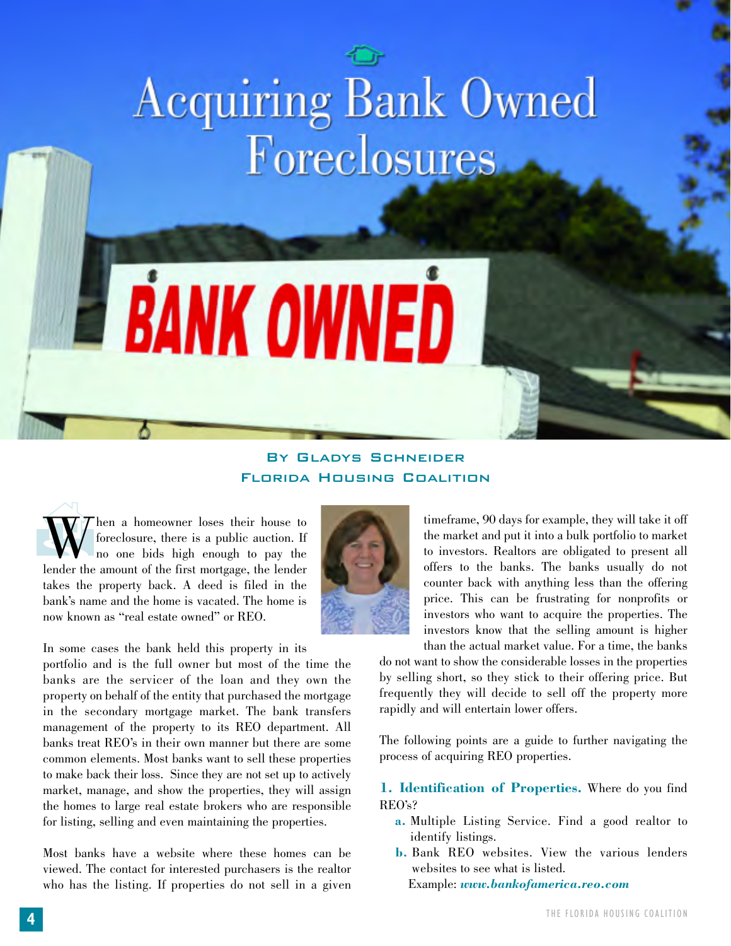# Acquiring Bank Owned<br>Foreclosures

### By Gladys Schneider Florida Housing Coalition

**E BANK OWNED** 

W When a homeowner loses their house to<br>foreclosure, there is a public auction. If<br>lender the amount of the first mortgage, the lender foreclosure, there is a public auction. If no one bids high enough to pay the lender the amount of the first mortgage, the lender takes the property back. A deed is filed in the bank's name and the home is vacated. The home is now known as "real estate owned" or REO.

In some cases the bank held this property in its

portfolio and is the full owner but most of the time the banks are the servicer of the loan and they own the property on behalf of the entity that purchased the mortgage in the secondary mortgage market. The bank transfers management of the property to its REO department. All banks treat REO's in their own manner but there are some common elements. Most banks want to sell these properties to make back their loss. Since they are not set up to actively market, manage, and show the properties, they will assign the homes to large real estate brokers who are responsible for listing, selling and even maintaining the properties.

Most banks have a website where these homes can be viewed. The contact for interested purchasers is the realtor who has the listing. If properties do not sell in a given



timeframe, 90 days for example, they will take it off the market and put it into a bulk portfolio to market to investors. Realtors are obligated to present all offers to the banks. The banks usually do not counter back with anything less than the offering price. This can be frustrating for nonprofits or investors who want to acquire the properties. The investors know that the selling amount is higher than the actual market value. For a time, the banks

do not want to show the considerable losses in the properties by selling short, so they stick to their offering price. But frequently they will decide to sell off the property more rapidly and will entertain lower offers.

The following points are a guide to further navigating the process of acquiring REO properties.

**1. Identification of Properties.** Where do you find REO's?

- **a.** Multiple Listing Service. Find a good realtor to identify listings.
- **b.** Bank REO websites. View the various lenders websites to see what is listed. Example: *www.bankofamerica.reo.com*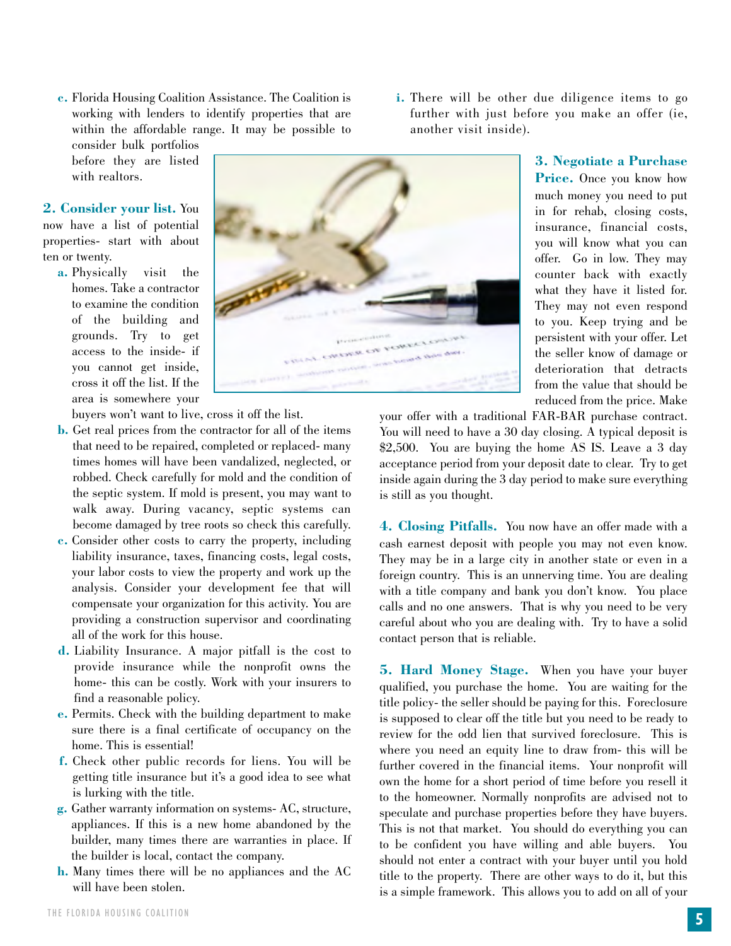**5** THE FLORIDA HOUSING COALITION

**c.** Florida Housing Coalition Assistance. The Coalition is working with lenders to identify properties that are within the affordable range. It may be possible to

consider bulk portfolios before they are listed with realtors.

**2. Consider your list.** You now have a list of potential properties- start with about ten or twenty.

**a.** Physically visit the homes. Take a contractor to examine the condition of the building and grounds. Try to get access to the inside- if you cannot get inside, cross it off the list. If the area is somewhere your

buyers won't want to live, cross it off the list.

- **b.** Get real prices from the contractor for all of the items that need to be repaired, completed or replaced- many times homes will have been vandalized, neglected, or robbed. Check carefully for mold and the condition of the septic system. If mold is present, you may want to walk away. During vacancy, septic systems can become damaged by tree roots so check this carefully.
- **c.** Consider other costs to carry the property, including liability insurance, taxes, financing costs, legal costs, your labor costs to view the property and work up the analysis. Consider your development fee that will compensate your organization for this activity. You are providing a construction supervisor and coordinating all of the work for this house.
- **d.** Liability Insurance. A major pitfall is the cost to provide insurance while the nonprofit owns the home- this can be costly. Work with your insurers to find a reasonable policy.
- **e.** Permits. Check with the building department to make sure there is a final certificate of occupancy on the home. This is essential!
- **f.** Check other public records for liens. You will be getting title insurance but it's a good idea to see what is lurking with the title.
- **g.** Gather warranty information on systems- AC, structure, appliances. If this is a new home abandoned by the builder, many times there are warranties in place. If the builder is local, contact the company.
- **h.** Many times there will be no appliances and the AC will have been stolen.

**i.** There will be other due diligence items to go further with just before you make an offer (ie, another visit inside).

> **3. Negotiate a Purchase Price.** Once you know how much money you need to put in for rehab, closing costs, insurance, financial costs, you will know what you can offer. Go in low. They may counter back with exactly what they have it listed for. They may not even respond to you. Keep trying and be persistent with your offer. Let the seller know of damage or deterioration that detracts from the value that should be reduced from the price. Make

your offer with a traditional FAR-BAR purchase contract. You will need to have a 30 day closing. A typical deposit is \$2,500. You are buying the home AS IS. Leave a 3 day acceptance period from your deposit date to clear. Try to get inside again during the 3 day period to make sure everything is still as you thought.

**4. Closing Pitfalls.** You now have an offer made with a cash earnest deposit with people you may not even know. They may be in a large city in another state or even in a foreign country. This is an unnerving time. You are dealing with a title company and bank you don't know. You place calls and no one answers. That is why you need to be very careful about who you are dealing with. Try to have a solid contact person that is reliable.

**5. Hard Money Stage.** When you have your buyer qualified, you purchase the home. You are waiting for the title policy- the seller should be paying for this. Foreclosure is supposed to clear off the title but you need to be ready to review for the odd lien that survived foreclosure. This is where you need an equity line to draw from- this will be further covered in the financial items. Your nonprofit will own the home for a short period of time before you resell it to the homeowner. Normally nonprofits are advised not to speculate and purchase properties before they have buyers. This is not that market. You should do everything you can to be confident you have willing and able buyers. You should not enter a contract with your buyer until you hold title to the property. There are other ways to do it, but this is a simple framework. This allows you to add on all of your

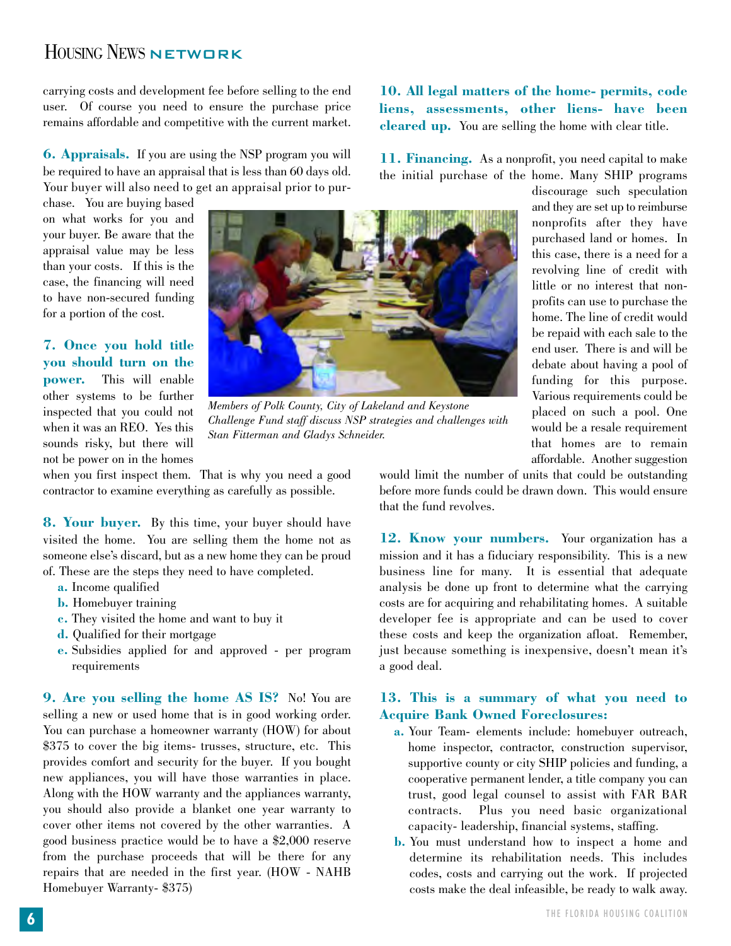# HOUSING NEWS NETWORK

carrying costs and development fee before selling to the end user. Of course you need to ensure the purchase price remains affordable and competitive with the current market.

**6. Appraisals.** If you are using the NSP program you will be required to have an appraisal that is less than 60 days old. Your buyer will also need to get an appraisal prior to pur-

chase. You are buying based on what works for you and your buyer. Be aware that the appraisal value may be less than your costs. If this is the case, the financing will need to have non-secured funding for a portion of the cost.

### **7. Once you hold title you should turn on the**

**power.** This will enable other systems to be further inspected that you could not when it was an REO. Yes this sounds risky, but there will not be power on in the homes



*Members of Polk County, City of Lakeland and Keystone Challenge Fund staff discuss NSP strategies and challenges with Stan Fitterman and Gladys Schneider.*

when you first inspect them. That is why you need a good contractor to examine everything as carefully as possible.

**8. Your buyer.** By this time, your buyer should have visited the home. You are selling them the home not as someone else's discard, but as a new home they can be proud of. These are the steps they need to have completed.

- **a.** Income qualified
- **b.** Homebuyer training
- **c.** They visited the home and want to buy it
- **d.** Qualified for their mortgage
- **e.** Subsidies applied for and approved per program requirements

**9. Are you selling the home AS IS?** No! You are selling a new or used home that is in good working order. You can purchase a homeowner warranty (HOW) for about \$375 to cover the big items- trusses, structure, etc. This provides comfort and security for the buyer. If you bought new appliances, you will have those warranties in place. Along with the HOW warranty and the appliances warranty, you should also provide a blanket one year warranty to cover other items not covered by the other warranties. A good business practice would be to have a \$2,000 reserve from the purchase proceeds that will be there for any repairs that are needed in the first year. (HOW - NAHB Homebuyer Warranty- \$375)

**10. All legal matters of the home- permits, code liens, assessments, other liens- have been cleared up.** You are selling the home with clear title.

**11. Financing.** As a nonprofit, you need capital to make the initial purchase of the home. Many SHIP programs

> discourage such speculation and they are set up to reimburse nonprofits after they have purchased land or homes. In this case, there is a need for a revolving line of credit with little or no interest that nonprofits can use to purchase the home. The line of credit would be repaid with each sale to the end user. There is and will be debate about having a pool of funding for this purpose. Various requirements could be placed on such a pool. One would be a resale requirement that homes are to remain affordable. Another suggestion

would limit the number of units that could be outstanding before more funds could be drawn down. This would ensure that the fund revolves.

**12. Know your numbers.** Your organization has a mission and it has a fiduciary responsibility. This is a new business line for many. It is essential that adequate analysis be done up front to determine what the carrying costs are for acquiring and rehabilitating homes. A suitable developer fee is appropriate and can be used to cover these costs and keep the organization afloat. Remember, just because something is inexpensive, doesn't mean it's a good deal.

### **13. This is a summary of what you need to Acquire Bank Owned Foreclosures:**

- **a.** Your Team- elements include: homebuyer outreach, home inspector, contractor, construction supervisor, supportive county or city SHIP policies and funding, a cooperative permanent lender, a title company you can trust, good legal counsel to assist with FAR BAR contracts. Plus you need basic organizational capacity- leadership, financial systems, staffing.
- **b.** You must understand how to inspect a home and determine its rehabilitation needs. This includes codes, costs and carrying out the work. If projected costs make the deal infeasible, be ready to walk away.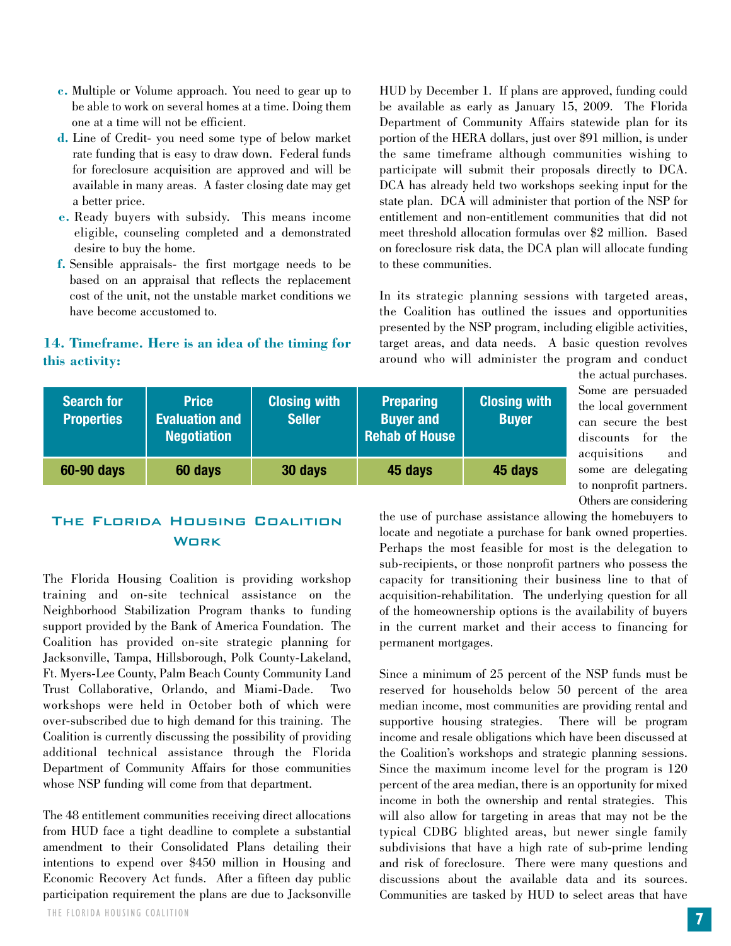- **c.** Multiple or Volume approach. You need to gear up to be able to work on several homes at a time. Doing them one at a time will not be efficient.
- **d.** Line of Credit- you need some type of below market rate funding that is easy to draw down. Federal funds for foreclosure acquisition are approved and will be available in many areas. A faster closing date may get a better price.
- **e.** Ready buyers with subsidy. This means income eligible, counseling completed and a demonstrated desire to buy the home.
- **f.** Sensible appraisals- the first mortgage needs to be based on an appraisal that reflects the replacement cost of the unit, not the unstable market conditions we have become accustomed to.

### **14. Timeframe. Here is an idea of the timing for this activity:**

HUD by December 1. If plans are approved, funding could be available as early as January 15, 2009. The Florida Department of Community Affairs statewide plan for its portion of the HERA dollars, just over \$91 million, is under the same timeframe although communities wishing to participate will submit their proposals directly to DCA. DCA has already held two workshops seeking input for the state plan. DCA will administer that portion of the NSP for entitlement and non-entitlement communities that did not meet threshold allocation formulas over \$2 million. Based on foreclosure risk data, the DCA plan will allocate funding to these communities.

In its strategic planning sessions with targeted areas, the Coalition has outlined the issues and opportunities presented by the NSP program, including eligible activities, target areas, and data needs. A basic question revolves around who will administer the program and conduct

| <b>Search for</b><br><b>Properties</b> | <b>Price</b><br><b>Evaluation and</b><br><b>Negotiation</b> | <b>Closing with</b><br><b>Seller</b> | <b>Preparing</b><br><b>Buyer and</b><br><b>Rehab of House</b> | <b>Closing with</b><br><b>Buyer</b> |
|----------------------------------------|-------------------------------------------------------------|--------------------------------------|---------------------------------------------------------------|-------------------------------------|
| 60-90 days                             | 60 days                                                     | 30 days                              | 45 days                                                       | 45 days                             |

### the actual purchases. Some are persuaded the local government can secure the best discounts for the acquisitions and some are delegating to nonprofit partners. Others are considering

### The Florida Housing Coalition **WORK**

The Florida Housing Coalition is providing workshop training and on-site technical assistance on the Neighborhood Stabilization Program thanks to funding support provided by the Bank of America Foundation. The Coalition has provided on-site strategic planning for Jacksonville, Tampa, Hillsborough, Polk County-Lakeland, Ft. Myers-Lee County, Palm Beach County Community Land Trust Collaborative, Orlando, and Miami-Dade. Two workshops were held in October both of which were over-subscribed due to high demand for this training. The Coalition is currently discussing the possibility of providing additional technical assistance through the Florida Department of Community Affairs for those communities whose NSP funding will come from that department.

The 48 entitlement communities receiving direct allocations from HUD face a tight deadline to complete a substantial amendment to their Consolidated Plans detailing their intentions to expend over \$450 million in Housing and Economic Recovery Act funds. After a fifteen day public participation requirement the plans are due to Jacksonville the use of purchase assistance allowing the homebuyers to locate and negotiate a purchase for bank owned properties. Perhaps the most feasible for most is the delegation to sub-recipients, or those nonprofit partners who possess the capacity for transitioning their business line to that of acquisition-rehabilitation. The underlying question for all of the homeownership options is the availability of buyers in the current market and their access to financing for permanent mortgages.

Since a minimum of 25 percent of the NSP funds must be reserved for households below 50 percent of the area median income, most communities are providing rental and supportive housing strategies. There will be program income and resale obligations which have been discussed at the Coalition's workshops and strategic planning sessions. Since the maximum income level for the program is 120 percent of the area median, there is an opportunity for mixed income in both the ownership and rental strategies. This will also allow for targeting in areas that may not be the typical CDBG blighted areas, but newer single family subdivisions that have a high rate of sub-prime lending and risk of foreclosure. There were many questions and discussions about the available data and its sources. Communities are tasked by HUD to select areas that have